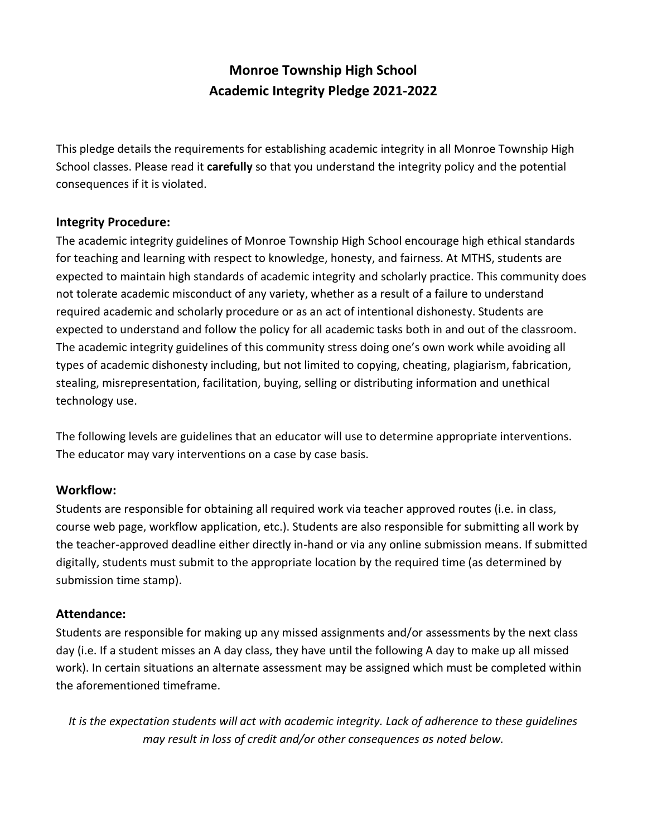# **Monroe Township High School Academic Integrity Pledge 2021-2022**

This pledge details the requirements for establishing academic integrity in all Monroe Township High School classes. Please read it **carefully** so that you understand the integrity policy and the potential consequences if it is violated.

#### **Integrity Procedure:**

The academic integrity guidelines of Monroe Township High School encourage high ethical standards for teaching and learning with respect to knowledge, honesty, and fairness. At MTHS, students are expected to maintain high standards of academic integrity and scholarly practice. This community does not tolerate academic misconduct of any variety, whether as a result of a failure to understand required academic and scholarly procedure or as an act of intentional dishonesty. Students are expected to understand and follow the policy for all academic tasks both in and out of the classroom. The academic integrity guidelines of this community stress doing one's own work while avoiding all types of academic dishonesty including, but not limited to copying, cheating, plagiarism, fabrication, stealing, misrepresentation, facilitation, buying, selling or distributing information and unethical technology use.

The following levels are guidelines that an educator will use to determine appropriate interventions. The educator may vary interventions on a case by case basis.

#### **Workflow:**

Students are responsible for obtaining all required work via teacher approved routes (i.e. in class, course web page, workflow application, etc.). Students are also responsible for submitting all work by the teacher-approved deadline either directly in-hand or via any online submission means. If submitted digitally, students must submit to the appropriate location by the required time (as determined by submission time stamp).

### **Attendance:**

Students are responsible for making up any missed assignments and/or assessments by the next class day (i.e. If a student misses an A day class, they have until the following A day to make up all missed work). In certain situations an alternate assessment may be assigned which must be completed within the aforementioned timeframe.

*It is the expectation students will act with academic integrity. Lack of adherence to these guidelines may result in loss of credit and/or other consequences as noted below.*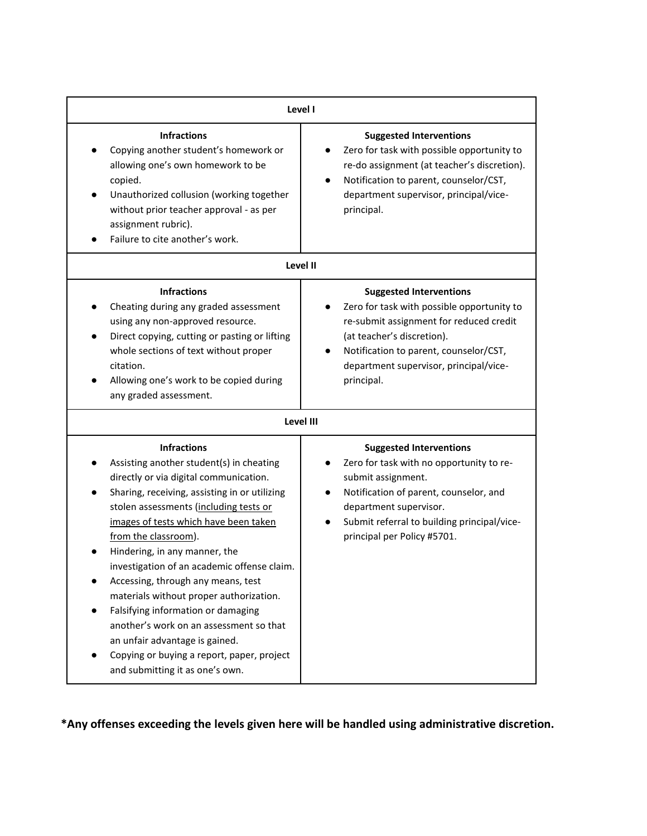| Level I                                                                                                                                                                                                                                                                                                                                                                                                                                                                                                                                                                                                                                   |                                                                                                                                                                                                                                                         |  |
|-------------------------------------------------------------------------------------------------------------------------------------------------------------------------------------------------------------------------------------------------------------------------------------------------------------------------------------------------------------------------------------------------------------------------------------------------------------------------------------------------------------------------------------------------------------------------------------------------------------------------------------------|---------------------------------------------------------------------------------------------------------------------------------------------------------------------------------------------------------------------------------------------------------|--|
| <b>Infractions</b><br>Copying another student's homework or<br>allowing one's own homework to be<br>copied.<br>Unauthorized collusion (working together<br>without prior teacher approval - as per<br>assignment rubric).<br>Failure to cite another's work.                                                                                                                                                                                                                                                                                                                                                                              | <b>Suggested Interventions</b><br>Zero for task with possible opportunity to<br>re-do assignment (at teacher's discretion).<br>Notification to parent, counselor/CST,<br>department supervisor, principal/vice-<br>principal.                           |  |
| Level II                                                                                                                                                                                                                                                                                                                                                                                                                                                                                                                                                                                                                                  |                                                                                                                                                                                                                                                         |  |
| <b>Infractions</b><br>Cheating during any graded assessment<br>using any non-approved resource.<br>Direct copying, cutting or pasting or lifting<br>$\bullet$<br>whole sections of text without proper<br>citation.<br>Allowing one's work to be copied during<br>any graded assessment.                                                                                                                                                                                                                                                                                                                                                  | <b>Suggested Interventions</b><br>Zero for task with possible opportunity to<br>re-submit assignment for reduced credit<br>(at teacher's discretion).<br>Notification to parent, counselor/CST,<br>department supervisor, principal/vice-<br>principal. |  |
| Level III                                                                                                                                                                                                                                                                                                                                                                                                                                                                                                                                                                                                                                 |                                                                                                                                                                                                                                                         |  |
| <b>Infractions</b><br>Assisting another student(s) in cheating<br>directly or via digital communication.<br>Sharing, receiving, assisting in or utilizing<br>stolen assessments (including tests or<br>images of tests which have been taken<br>from the classroom).<br>Hindering, in any manner, the<br>investigation of an academic offense claim.<br>Accessing, through any means, test<br>materials without proper authorization.<br>Falsifying information or damaging<br>another's work on an assessment so that<br>an unfair advantage is gained.<br>Copying or buying a report, paper, project<br>and submitting it as one's own. | <b>Suggested Interventions</b><br>Zero for task with no opportunity to re-<br>submit assignment.<br>Notification of parent, counselor, and<br>department supervisor.<br>Submit referral to building principal/vice-<br>principal per Policy #5701.      |  |

**\*Any offenses exceeding the levels given here will be handled using administrative discretion.**